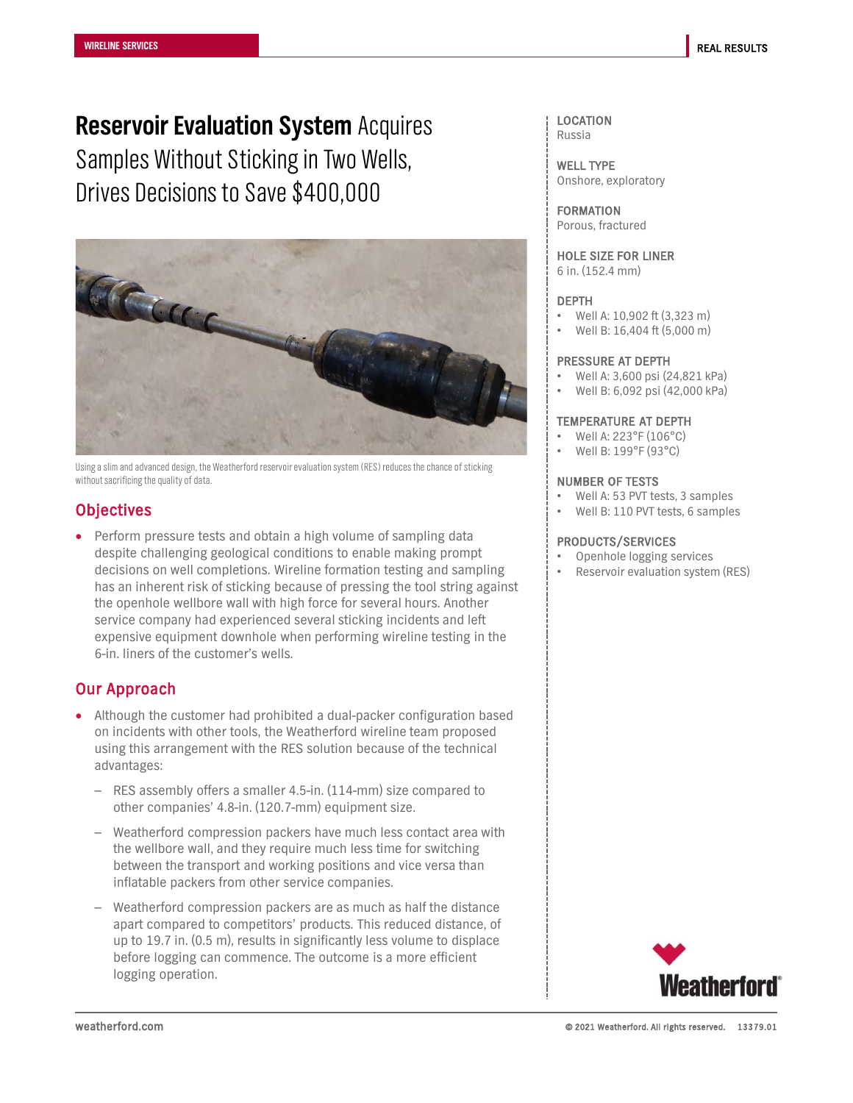**Reservoir Evaluation System** Acquires Samples Without Sticking in Two Wells, Drives Decisions to Save \$400,000



Using a slim and advanced design, the Weatherford reservoir evaluation system (RES) reduces the chance of sticking without sacrificing the quality of data.

# **Objectives**

• Perform pressure tests and obtain a high volume of sampling data despite challenging geological conditions to enable making prompt decisions on well completions. Wireline formation testing and sampling has an inherent risk of sticking because of pressing the tool string against the openhole wellbore wall with high force for several hours. Another service company had experienced several sticking incidents and left expensive equipment downhole when performing wireline testing in the 6-in. liners of the customer's wells.

# Our Approach

- Although the customer had prohibited a dual-packer configuration based on incidents with other tools, the Weatherford wireline team proposed using this arrangement with the RES solution because of the technical advantages:
	- RES assembly offers a smaller 4.5-in. (114-mm) size compared to other companies' 4.8-in. (120.7-mm) equipment size.
	- Weatherford compression packers have much less contact area with the wellbore wall, and they require much less time for switching between the transport and working positions and vice versa than inflatable packers from other service companies.
	- Weatherford compression packers are as much as half the distance apart compared to competitors' products. This reduced distance, of up to 19.7 in. (0.5 m), results in significantly less volume to displace before logging can commence. The outcome is a more efficient logging operation.

#### LOCATION Russia

WELL TYPE Onshore, exploratory

FORMATION Porous, fractured

HOLE SIZE FOR LINER 6 in. (152.4 mm)

#### DEPTH

- Well A: 10,902 ft (3,323 m)
- Well B: 16,404 ft (5,000 m)

#### PRESSURE AT DEPTH

- Well A: 3,600 psi (24,821 kPa)
- Well B: 6,092 psi (42,000 kPa)

### TEMPERATURE AT DEPTH

- Well A: 223°F (106°C)
- Well B: 199°F (93°C)

#### NUMBER OF TESTS

- Well A: 53 PVT tests, 3 samples
- Well B: 110 PVT tests, 6 samples

### PRODUCTS/SERVICES

- Openhole logging services
- Reservoir evaluation system (RES)